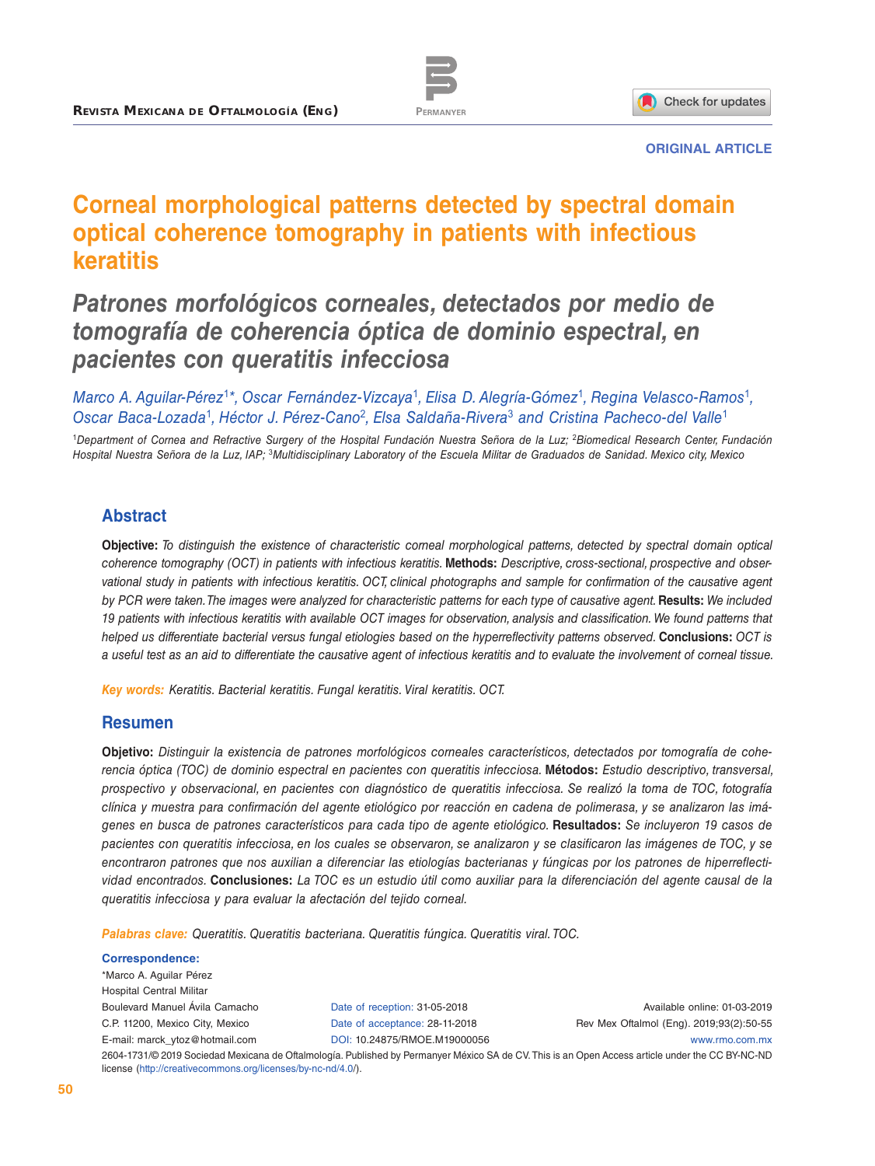



#### **ORIGINAL ARTICLE**

# **Corneal morphological patterns detected by spectral domain optical coherence tomography in patients with infectious keratitis**

# *Patrones morfológicos corneales, detectados por medio de tomografía de coherencia óptica de dominio espectral, en pacientes con queratitis infecciosa*

*Marco A. Aguilar-Pérez*<sup>1</sup>*\*, Oscar Fernández-Vizcaya*<sup>1</sup>*, Elisa D. Alegría-Gómez*<sup>1</sup>*, Regina Velasco-Ramos*<sup>1</sup>*, Oscar Baca-Lozada*<sup>1</sup>*, Héctor J. Pérez-Cano*<sup>2</sup>*, Elsa Saldaña-Rivera*<sup>3</sup> *and Cristina Pacheco-del Valle*<sup>1</sup>

<sup>1</sup>*Department of Cornea and Refractive Surgery of the Hospital Fundación Nuestra Señora de la Luz;* <sup>2</sup>*Biomedical Research Center, Fundación Hospital Nuestra Señora de la Luz, IAP;* <sup>3</sup>*Multidisciplinary Laboratory of the Escuela Militar de Graduados de Sanidad. Mexico city, Mexico*

## **Abstract**

**Objective:** *To distinguish the existence of characteristic corneal morphological patterns, detected by spectral domain optical coherence tomography (OCT) in patients with infectious keratitis.* **Methods:** *Descriptive, cross-sectional, prospective and observational study in patients with infectious keratitis. OCT, clinical photographs and sample for confirmation of the causative agent by PCR were taken. The images were analyzed for characteristic patterns for each type of causative agent.* **Results:** *We included 19 patients with infectious keratitis with available OCT images for observation, analysis and classification. We found patterns that helped us differentiate bacterial versus fungal etiologies based on the hyperreflectivity patterns observed.* **Conclusions:** *OCT is a useful test as an aid to differentiate the causative agent of infectious keratitis and to evaluate the involvement of corneal tissue.*

*Key words: Keratitis. Bacterial keratitis. Fungal keratitis. Viral keratitis. OCT.*

#### **Resumen**

**Objetivo:** *Distinguir la existencia de patrones morfológicos corneales característicos, detectados por tomografía de coherencia óptica (TOC) de dominio espectral en pacientes con queratitis infecciosa.* **Métodos:** *Estudio descriptivo, transversal, prospectivo y observacional, en pacientes con diagnóstico de queratitis infecciosa. Se realizó la toma de TOC, fotografía clínica y muestra para confirmación del agente etiológico por reacción en cadena de polimerasa, y se analizaron las imágenes en busca de patrones característicos para cada tipo de agente etiológico.* **Resultados:** *Se incluyeron 19 casos de pacientes con queratitis infecciosa, en los cuales se observaron, se analizaron y se clasificaron las imágenes de TOC, y se encontraron patrones que nos auxilian a diferenciar las etiologías bacterianas y fúngicas por los patrones de hiperreflectividad encontrados.* **Conclusiones:** *La TOC es un estudio útil como auxiliar para la diferenciación del agente causal de la queratitis infecciosa y para evaluar la afectación del tejido corneal.*

*Palabras clave: Queratitis. Queratitis bacteriana. Queratitis fúngica. Queratitis viral. TOC.*

| <b>Correspondence:</b>                                       |                                |                                                                                                                                                  |
|--------------------------------------------------------------|--------------------------------|--------------------------------------------------------------------------------------------------------------------------------------------------|
| *Marco A. Aquilar Pérez                                      |                                |                                                                                                                                                  |
| <b>Hospital Central Militar</b>                              |                                |                                                                                                                                                  |
| Boulevard Manuel Ávila Camacho                               | Date of reception: 31-05-2018  | Available online: 01-03-2019                                                                                                                     |
| C.P. 11200, Mexico City, Mexico                              | Date of acceptance: 28-11-2018 | Rev Mex Oftalmol (Eng). 2019;93(2):50-55                                                                                                         |
| E-mail: marck ytoz@hotmail.com                               | DOI: 10.24875/RMOE.M19000056   | www.rmo.com.mx                                                                                                                                   |
| license (http://creativecommons.org/licenses/by-nc-nd/4.0/). |                                | 2604-1731/© 2019 Sociedad Mexicana de Oftalmología. Published by Permanyer México SA de CV. This is an Open Access article under the CC BY-NC-ND |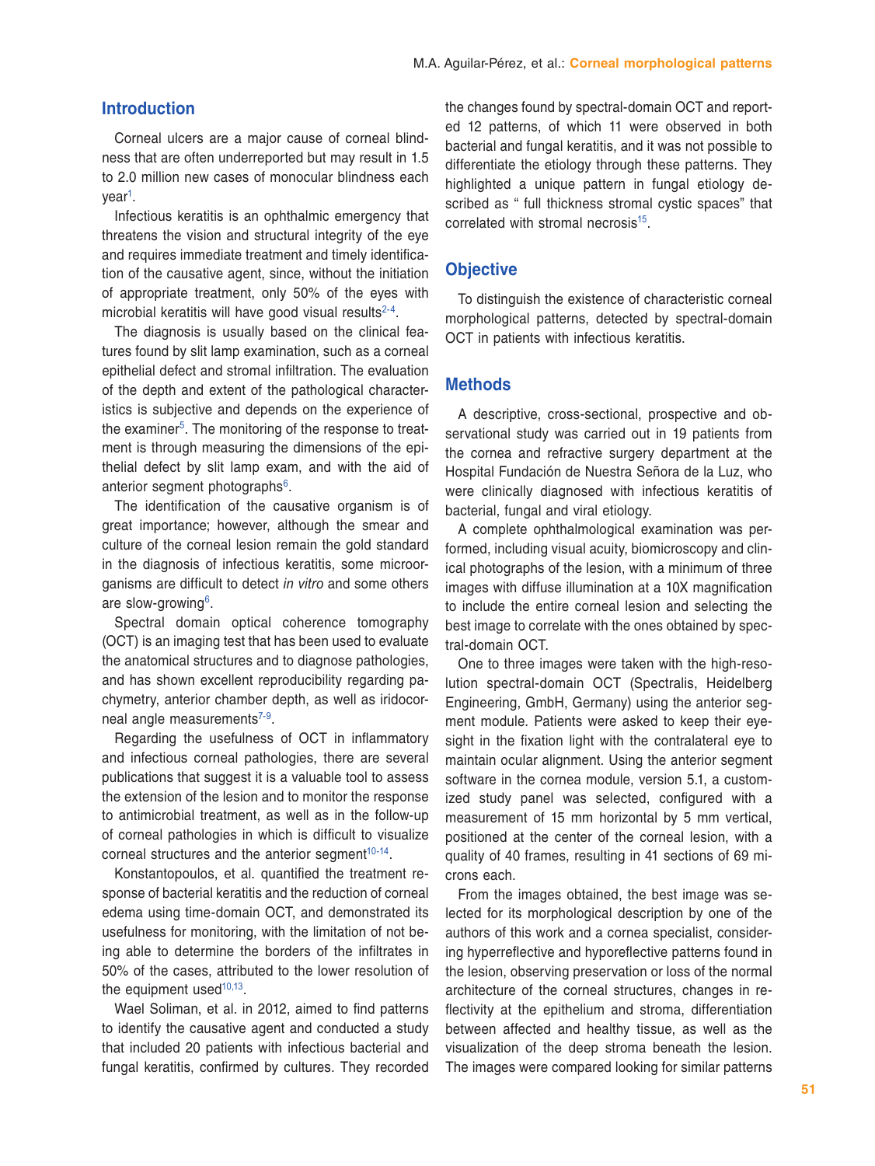### **Introduction**

Corneal ulcers are a major cause of corneal blindness that are often underreported but may result in 1.5 to 2.0 million new cases of monocular blindness each year[1](#page-5-0).

Infectious keratitis is an ophthalmic emergency that threatens the vision and structural integrity of the eye and requires immediate treatment and timely identification of the causative agent, since, without the initiation of appropriate treatment, only 50% of the eyes with microbial keratitis will have good visual results $2-4$  $2-4$  $2-4$ .

The diagnosis is usually based on the clinical features found by slit lamp examination, such as a corneal epithelial defect and stromal infiltration. The evaluation of the depth and extent of the pathological characteristics is subjective and depends on the experience of the examiner<sup>[5](#page-5-3)</sup>. The monitoring of the response to treatment is through measuring the dimensions of the epithelial defect by slit lamp exam, and with the aid of anterior segment photographs<sup>[6](#page-5-4)</sup>.

The identification of the causative organism is of great importance; however, although the smear and culture of the corneal lesion remain the gold standard in the diagnosis of infectious keratitis, some microorganisms are difficult to detect *in vitro* and some others are slow-growing[6](#page-5-4).

Spectral domain optical coherence tomography (OCT) is an imaging test that has been used to evaluate the anatomical structures and to diagnose pathologies, and has shown excellent reproducibility regarding pachymetry, anterior chamber depth, as well as iridocor-neal angle measurements<sup>[7](#page-5-5)[-9](#page-5-6)</sup>.

Regarding the usefulness of OCT in inflammatory and infectious corneal pathologies, there are several publications that suggest it is a valuable tool to assess the extension of the lesion and to monitor the response to antimicrobial treatment, as well as in the follow-up of corneal pathologies in which is difficult to visualize corneal structures and the anterior segment<sup>[10](#page-5-7)[-14](#page-5-8)</sup>.

Konstantopoulos, et al. quantified the treatment response of bacterial keratitis and the reduction of corneal edema using time-domain OCT, and demonstrated its usefulness for monitoring, with the limitation of not being able to determine the borders of the infiltrates in 50% of the cases, attributed to the lower resolution of the equipment used<sup>[10](#page-5-7)[,13](#page-5-9)</sup>.

Wael Soliman, et al. in 2012, aimed to find patterns to identify the causative agent and conducted a study that included 20 patients with infectious bacterial and fungal keratitis, confirmed by cultures. They recorded the changes found by spectral-domain OCT and reported 12 patterns, of which 11 were observed in both bacterial and fungal keratitis, and it was not possible to differentiate the etiology through these patterns. They highlighted a unique pattern in fungal etiology described as " full thickness stromal cystic spaces" that correlated with stromal necrosis<sup>[15](#page-5-10)</sup>.

#### **Objective**

To distinguish the existence of characteristic corneal morphological patterns, detected by spectral-domain OCT in patients with infectious keratitis.

#### **Methods**

A descriptive, cross-sectional, prospective and observational study was carried out in 19 patients from the cornea and refractive surgery department at the Hospital Fundación de Nuestra Señora de la Luz, who were clinically diagnosed with infectious keratitis of bacterial, fungal and viral etiology.

A complete ophthalmological examination was performed, including visual acuity, biomicroscopy and clinical photographs of the lesion, with a minimum of three images with diffuse illumination at a 10X magnification to include the entire corneal lesion and selecting the best image to correlate with the ones obtained by spectral-domain OCT.

One to three images were taken with the high-resolution spectral-domain OCT (Spectralis, Heidelberg Engineering, GmbH, Germany) using the anterior segment module. Patients were asked to keep their eyesight in the fixation light with the contralateral eye to maintain ocular alignment. Using the anterior segment software in the cornea module, version 5.1, a customized study panel was selected, configured with a measurement of 15 mm horizontal by 5 mm vertical, positioned at the center of the corneal lesion, with a quality of 40 frames, resulting in 41 sections of 69 microns each.

From the images obtained, the best image was selected for its morphological description by one of the authors of this work and a cornea specialist, considering hyperreflective and hyporeflective patterns found in the lesion, observing preservation or loss of the normal architecture of the corneal structures, changes in reflectivity at the epithelium and stroma, differentiation between affected and healthy tissue, as well as the visualization of the deep stroma beneath the lesion. The images were compared looking for similar patterns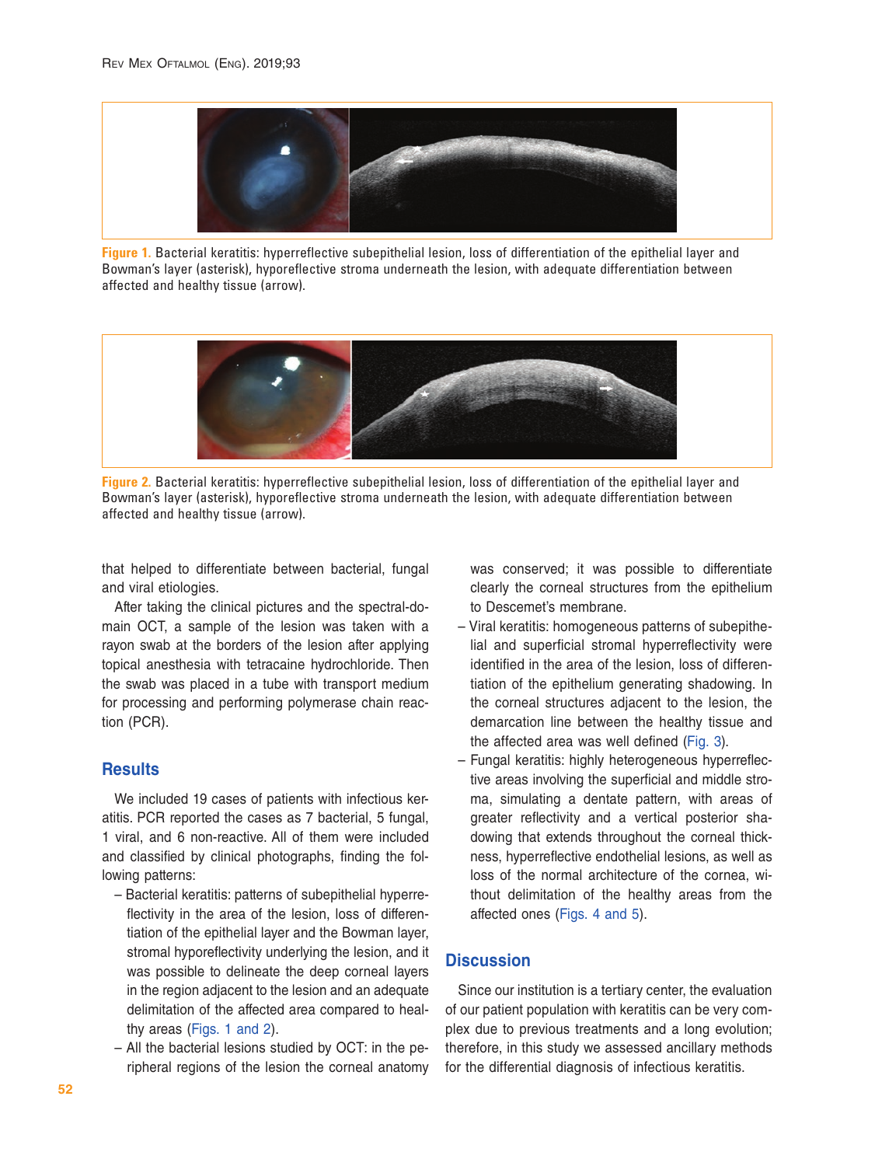

**Figure 1.** Bacterial keratitis: hyperreflective subepithelial lesion, loss of differentiation of the epithelial layer and Bowman's layer (asterisk), hyporeflective stroma underneath the lesion, with adequate differentiation between affected and healthy tissue (arrow).



**Figure 2.** Bacterial keratitis: hyperreflective subepithelial lesion, loss of differentiation of the epithelial layer and Bowman's layer (asterisk), hyporeflective stroma underneath the lesion, with adequate differentiation between affected and healthy tissue (arrow).

that helped to differentiate between bacterial, fungal and viral etiologies.

After taking the clinical pictures and the spectral-domain OCT, a sample of the lesion was taken with a rayon swab at the borders of the lesion after applying topical anesthesia with tetracaine hydrochloride. Then the swab was placed in a tube with transport medium for processing and performing polymerase chain reaction (PCR).

## **Results**

We included 19 cases of patients with infectious keratitis. PCR reported the cases as 7 bacterial, 5 fungal, 1 viral, and 6 non-reactive. All of them were included and classified by clinical photographs, finding the following patterns:

- Bacterial keratitis: patterns of subepithelial hyperreflectivity in the area of the lesion, loss of differentiation of the epithelial layer and the Bowman layer, stromal hyporeflectivity underlying the lesion, and it was possible to delineate the deep corneal layers in the region adjacent to the lesion and an adequate delimitation of the affected area compared to healthy areas (Figs. 1 and 2).
- All the bacterial lesions studied by OCT: in the peripheral regions of the lesion the corneal anatomy

was conserved; it was possible to differentiate clearly the corneal structures from the epithelium to Descemet's membrane.

- Viral keratitis: homogeneous patterns of subepithelial and superficial stromal hyperreflectivity were identified in the area of the lesion, loss of differentiation of the epithelium generating shadowing. In the corneal structures adjacent to the lesion, the demarcation line between the healthy tissue and the affected area was well defined ([Fig. 3](#page-3-0)).
- Fungal keratitis: highly heterogeneous hyperreflective areas involving the superficial and middle stroma, simulating a dentate pattern, with areas of greater reflectivity and a vertical posterior shadowing that extends throughout the corneal thickness, hyperreflective endothelial lesions, as well as loss of the normal architecture of the cornea, without delimitation of the healthy areas from the affected ones [\(Figs. 4 and 5](#page-3-0)).

# **Discussion**

Since our institution is a tertiary center, the evaluation of our patient population with keratitis can be very complex due to previous treatments and a long evolution; therefore, in this study we assessed ancillary methods for the differential diagnosis of infectious keratitis.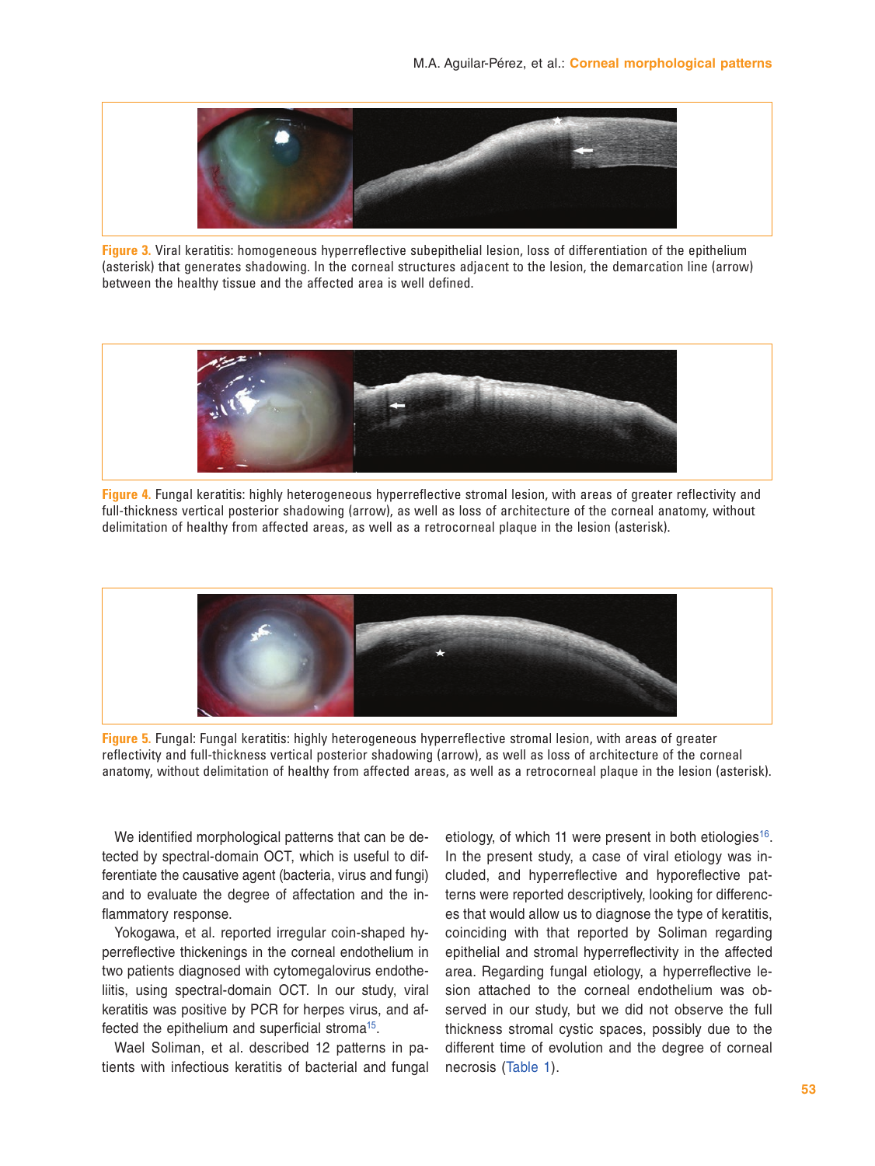<span id="page-3-0"></span>

**Figure 3.** Viral keratitis: homogeneous hyperreflective subepithelial lesion, loss of differentiation of the epithelium (asterisk) that generates shadowing. In the corneal structures adjacent to the lesion, the demarcation line (arrow) between the healthy tissue and the affected area is well defined.



**Figure 4.** Fungal keratitis: highly heterogeneous hyperreflective stromal lesion, with areas of greater reflectivity and full-thickness vertical posterior shadowing (arrow), as well as loss of architecture of the corneal anatomy, without delimitation of healthy from affected areas, as well as a retrocorneal plaque in the lesion (asterisk).



**Figure 5.** Fungal: Fungal keratitis: highly heterogeneous hyperreflective stromal lesion, with areas of greater reflectivity and full-thickness vertical posterior shadowing (arrow), as well as loss of architecture of the corneal anatomy, without delimitation of healthy from affected areas, as well as a retrocorneal plaque in the lesion (asterisk).

We identified morphological patterns that can be detected by spectral-domain OCT, which is useful to differentiate the causative agent (bacteria, virus and fungi) and to evaluate the degree of affectation and the inflammatory response.

Yokogawa, et al. reported irregular coin-shaped hyperreflective thickenings in the corneal endothelium in two patients diagnosed with cytomegalovirus endotheliitis, using spectral-domain OCT. In our study, viral keratitis was positive by PCR for herpes virus, and af-fected the epithelium and superficial stroma<sup>[15](#page-5-10)</sup>.

Wael Soliman, et al. described 12 patterns in patients with infectious keratitis of bacterial and fungal

etiology, of which 11 were present in both etiologies<sup>[16](#page-5-11)</sup>. In the present study, a case of viral etiology was included, and hyperreflective and hyporeflective patterns were reported descriptively, looking for differences that would allow us to diagnose the type of keratitis, coinciding with that reported by Soliman regarding epithelial and stromal hyperreflectivity in the affected area. Regarding fungal etiology, a hyperreflective lesion attached to the corneal endothelium was observed in our study, but we did not observe the full thickness stromal cystic spaces, possibly due to the different time of evolution and the degree of corneal necrosis (Table 1).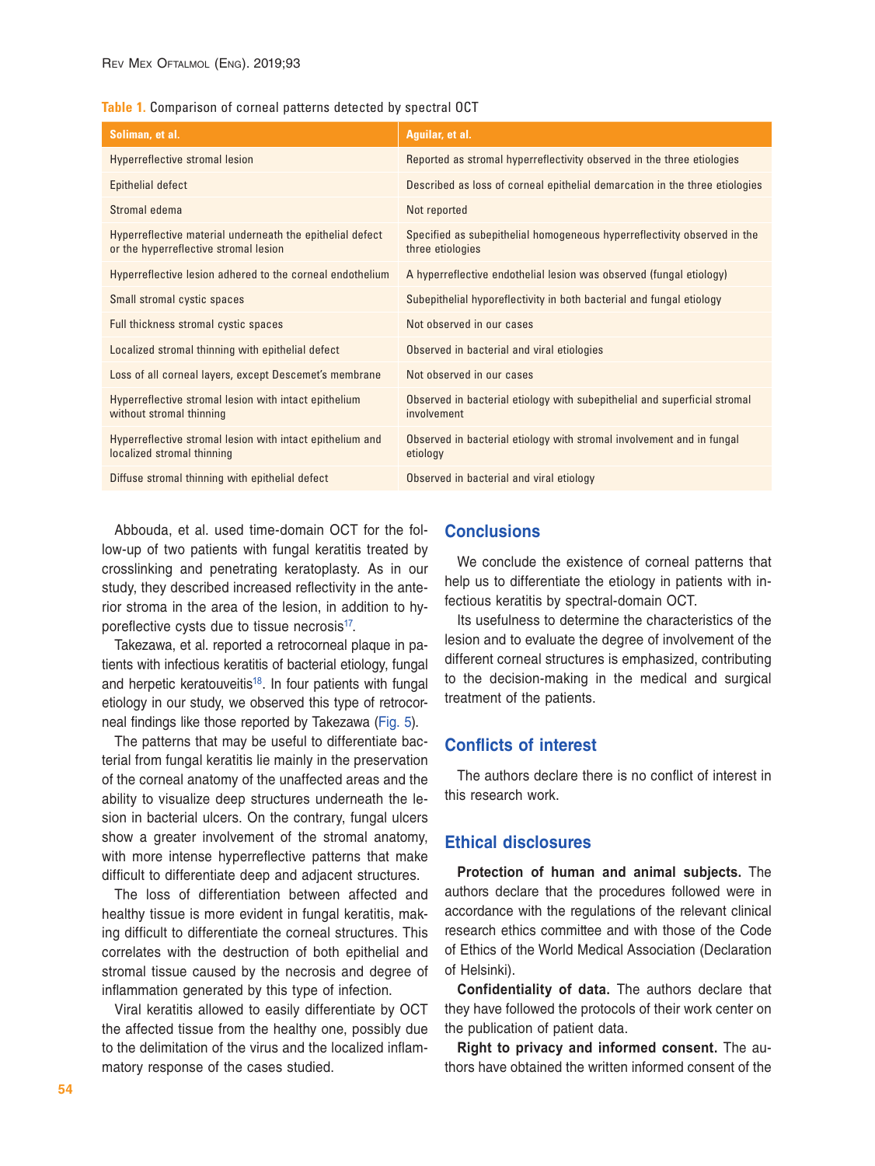|  | Table 1. Comparison of corneal patterns detected by spectral OCT |  |  |  |  |  |  |
|--|------------------------------------------------------------------|--|--|--|--|--|--|
|--|------------------------------------------------------------------|--|--|--|--|--|--|

| Soliman, et al.                                                                                    | Aguilar, et al.                                                                              |  |  |  |
|----------------------------------------------------------------------------------------------------|----------------------------------------------------------------------------------------------|--|--|--|
| Hyperreflective stromal lesion                                                                     | Reported as stromal hyperreflectivity observed in the three etiologies                       |  |  |  |
| Epithelial defect                                                                                  | Described as loss of corneal epithelial demarcation in the three etiologies                  |  |  |  |
| Stromal edema                                                                                      | Not reported                                                                                 |  |  |  |
| Hyperreflective material underneath the epithelial defect<br>or the hyperreflective stromal lesion | Specified as subepithelial homogeneous hyperreflectivity observed in the<br>three etiologies |  |  |  |
| Hyperreflective lesion adhered to the corneal endothelium                                          | A hyperreflective endothelial lesion was observed (fungal etiology)                          |  |  |  |
| Small stromal cystic spaces                                                                        | Subepithelial hyporeflectivity in both bacterial and fungal etiology                         |  |  |  |
| Full thickness stromal cystic spaces                                                               | Not observed in our cases                                                                    |  |  |  |
| Localized stromal thinning with epithelial defect                                                  | Observed in bacterial and viral etiologies                                                   |  |  |  |
| Loss of all corneal layers, except Descemet's membrane                                             | Not observed in our cases                                                                    |  |  |  |
| Hyperreflective stromal lesion with intact epithelium<br>without stromal thinning                  | Observed in bacterial etiology with subepithelial and superficial stromal<br>involvement     |  |  |  |
| Hyperreflective stromal lesion with intact epithelium and<br>localized stromal thinning            | Observed in bacterial etiology with stromal involvement and in fungal<br>etiology            |  |  |  |
| Diffuse stromal thinning with epithelial defect                                                    | Observed in bacterial and viral etiology                                                     |  |  |  |

Abbouda, et al. used time-domain OCT for the follow-up of two patients with fungal keratitis treated by crosslinking and penetrating keratoplasty. As in our study, they described increased reflectivity in the anterior stroma in the area of the lesion, in addition to hy-poreflective cysts due to tissue necrosis<sup>[17](#page-5-12)</sup>.

Takezawa, et al. reported a retrocorneal plaque in patients with infectious keratitis of bacterial etiology, fungal and herpetic keratouveitis<sup>[18](#page-5-13)</sup>. In four patients with fungal etiology in our study, we observed this type of retrocorneal findings like those reported by Takezawa ([Fig. 5](#page-3-0)).

The patterns that may be useful to differentiate bacterial from fungal keratitis lie mainly in the preservation of the corneal anatomy of the unaffected areas and the ability to visualize deep structures underneath the lesion in bacterial ulcers. On the contrary, fungal ulcers show a greater involvement of the stromal anatomy, with more intense hyperreflective patterns that make difficult to differentiate deep and adjacent structures.

The loss of differentiation between affected and healthy tissue is more evident in fungal keratitis, making difficult to differentiate the corneal structures. This correlates with the destruction of both epithelial and stromal tissue caused by the necrosis and degree of inflammation generated by this type of infection.

Viral keratitis allowed to easily differentiate by OCT the affected tissue from the healthy one, possibly due to the delimitation of the virus and the localized inflammatory response of the cases studied.

## **Conclusions**

We conclude the existence of corneal patterns that help us to differentiate the etiology in patients with infectious keratitis by spectral-domain OCT.

Its usefulness to determine the characteristics of the lesion and to evaluate the degree of involvement of the different corneal structures is emphasized, contributing to the decision-making in the medical and surgical treatment of the patients.

## **Conflicts of interest**

The authors declare there is no conflict of interest in this research work.

### **Ethical disclosures**

**Protection of human and animal subjects.** The authors declare that the procedures followed were in accordance with the regulations of the relevant clinical research ethics committee and with those of the Code of Ethics of the World Medical Association (Declaration of Helsinki).

**Confidentiality of data.** The authors declare that they have followed the protocols of their work center on the publication of patient data.

**Right to privacy and informed consent.** The authors have obtained the written informed consent of the